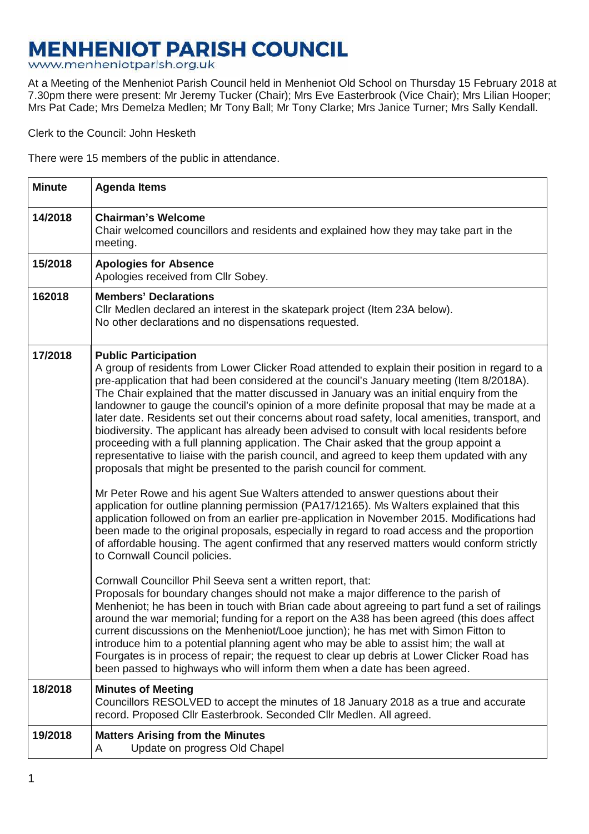## **MENHENIOT PARISH COUNCIL**

www.menheniotparish.org.uk

At a Meeting of the Menheniot Parish Council held in Menheniot Old School on Thursday 15 February 2018 at 7.30pm there were present: Mr Jeremy Tucker (Chair); Mrs Eve Easterbrook (Vice Chair); Mrs Lilian Hooper; Mrs Pat Cade; Mrs Demelza Medlen; Mr Tony Ball; Mr Tony Clarke; Mrs Janice Turner; Mrs Sally Kendall.

Clerk to the Council: John Hesketh

There were 15 members of the public in attendance.

| <b>Minute</b> | <b>Agenda Items</b>                                                                                                                                                                                                                                                                                                                                                                                                                                                                                                                                                                                                                                                                                                                                                                                                                                                                   |  |  |  |  |
|---------------|---------------------------------------------------------------------------------------------------------------------------------------------------------------------------------------------------------------------------------------------------------------------------------------------------------------------------------------------------------------------------------------------------------------------------------------------------------------------------------------------------------------------------------------------------------------------------------------------------------------------------------------------------------------------------------------------------------------------------------------------------------------------------------------------------------------------------------------------------------------------------------------|--|--|--|--|
| 14/2018       | <b>Chairman's Welcome</b><br>Chair welcomed councillors and residents and explained how they may take part in the<br>meeting.                                                                                                                                                                                                                                                                                                                                                                                                                                                                                                                                                                                                                                                                                                                                                         |  |  |  |  |
| 15/2018       | <b>Apologies for Absence</b><br>Apologies received from Cllr Sobey.                                                                                                                                                                                                                                                                                                                                                                                                                                                                                                                                                                                                                                                                                                                                                                                                                   |  |  |  |  |
| 162018        | <b>Members' Declarations</b><br>Cllr Medlen declared an interest in the skatepark project (Item 23A below).<br>No other declarations and no dispensations requested.                                                                                                                                                                                                                                                                                                                                                                                                                                                                                                                                                                                                                                                                                                                  |  |  |  |  |
| 17/2018       | <b>Public Participation</b><br>A group of residents from Lower Clicker Road attended to explain their position in regard to a<br>pre-application that had been considered at the council's January meeting (Item 8/2018A).<br>The Chair explained that the matter discussed in January was an initial enquiry from the<br>landowner to gauge the council's opinion of a more definite proposal that may be made at a<br>later date. Residents set out their concerns about road safety, local amenities, transport, and<br>biodiversity. The applicant has already been advised to consult with local residents before<br>proceeding with a full planning application. The Chair asked that the group appoint a<br>representative to liaise with the parish council, and agreed to keep them updated with any<br>proposals that might be presented to the parish council for comment. |  |  |  |  |
|               | Mr Peter Rowe and his agent Sue Walters attended to answer questions about their<br>application for outline planning permission (PA17/12165). Ms Walters explained that this<br>application followed on from an earlier pre-application in November 2015. Modifications had<br>been made to the original proposals, especially in regard to road access and the proportion<br>of affordable housing. The agent confirmed that any reserved matters would conform strictly<br>to Cornwall Council policies.                                                                                                                                                                                                                                                                                                                                                                            |  |  |  |  |
|               | Cornwall Councillor Phil Seeva sent a written report, that:<br>Proposals for boundary changes should not make a major difference to the parish of<br>Menheniot; he has been in touch with Brian cade about agreeing to part fund a set of railings<br>around the war memorial; funding for a report on the A38 has been agreed (this does affect<br>current discussions on the Menheniot/Looe junction); he has met with Simon Fitton to<br>introduce him to a potential planning agent who may be able to assist him; the wall at<br>Fourgates is in process of repair; the request to clear up debris at Lower Clicker Road has<br>been passed to highways who will inform them when a date has been agreed.                                                                                                                                                                        |  |  |  |  |
| 18/2018       | <b>Minutes of Meeting</b><br>Councillors RESOLVED to accept the minutes of 18 January 2018 as a true and accurate<br>record. Proposed Cllr Easterbrook. Seconded Cllr Medlen. All agreed.                                                                                                                                                                                                                                                                                                                                                                                                                                                                                                                                                                                                                                                                                             |  |  |  |  |
| 19/2018       | <b>Matters Arising from the Minutes</b><br>Update on progress Old Chapel<br>A                                                                                                                                                                                                                                                                                                                                                                                                                                                                                                                                                                                                                                                                                                                                                                                                         |  |  |  |  |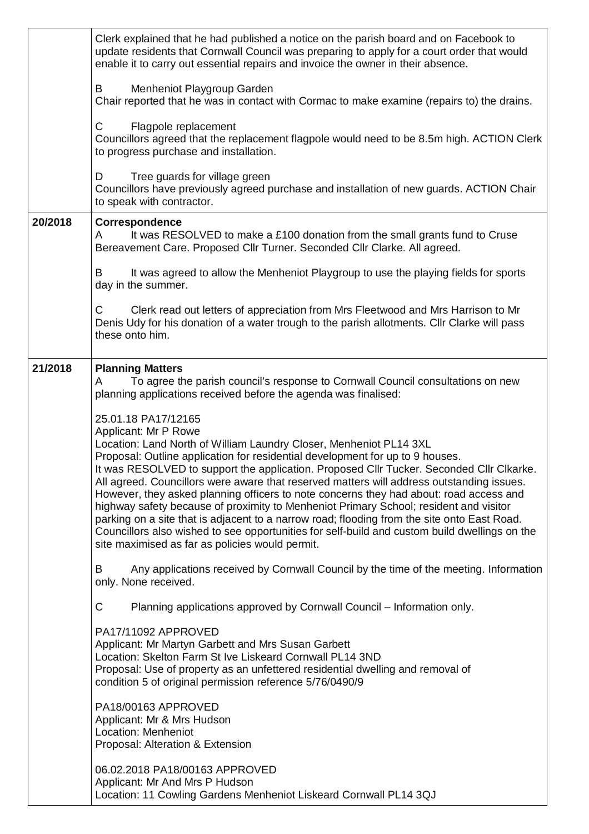|         | Clerk explained that he had published a notice on the parish board and on Facebook to<br>update residents that Cornwall Council was preparing to apply for a court order that would<br>enable it to carry out essential repairs and invoice the owner in their absence.                                                                                                                                                                                                                                                                                                                                                                                                                                                                                                                                                                                                                                                                                                                                                                                                                                                                                                                                                                                                                                                                                                                                                                       |  |  |  |  |  |
|---------|-----------------------------------------------------------------------------------------------------------------------------------------------------------------------------------------------------------------------------------------------------------------------------------------------------------------------------------------------------------------------------------------------------------------------------------------------------------------------------------------------------------------------------------------------------------------------------------------------------------------------------------------------------------------------------------------------------------------------------------------------------------------------------------------------------------------------------------------------------------------------------------------------------------------------------------------------------------------------------------------------------------------------------------------------------------------------------------------------------------------------------------------------------------------------------------------------------------------------------------------------------------------------------------------------------------------------------------------------------------------------------------------------------------------------------------------------|--|--|--|--|--|
|         | Menheniot Playgroup Garden<br>В<br>Chair reported that he was in contact with Cormac to make examine (repairs to) the drains.                                                                                                                                                                                                                                                                                                                                                                                                                                                                                                                                                                                                                                                                                                                                                                                                                                                                                                                                                                                                                                                                                                                                                                                                                                                                                                                 |  |  |  |  |  |
|         | Flagpole replacement<br>С<br>Councillors agreed that the replacement flagpole would need to be 8.5m high. ACTION Clerk<br>to progress purchase and installation.                                                                                                                                                                                                                                                                                                                                                                                                                                                                                                                                                                                                                                                                                                                                                                                                                                                                                                                                                                                                                                                                                                                                                                                                                                                                              |  |  |  |  |  |
|         | Tree guards for village green<br>D<br>Councillors have previously agreed purchase and installation of new guards. ACTION Chair<br>to speak with contractor.                                                                                                                                                                                                                                                                                                                                                                                                                                                                                                                                                                                                                                                                                                                                                                                                                                                                                                                                                                                                                                                                                                                                                                                                                                                                                   |  |  |  |  |  |
| 20/2018 | <b>Correspondence</b><br>It was RESOLVED to make a £100 donation from the small grants fund to Cruse<br>A<br>Bereavement Care. Proposed Cllr Turner. Seconded Cllr Clarke. All agreed.                                                                                                                                                                                                                                                                                                                                                                                                                                                                                                                                                                                                                                                                                                                                                                                                                                                                                                                                                                                                                                                                                                                                                                                                                                                        |  |  |  |  |  |
|         | It was agreed to allow the Menheniot Playgroup to use the playing fields for sports<br>В<br>day in the summer.                                                                                                                                                                                                                                                                                                                                                                                                                                                                                                                                                                                                                                                                                                                                                                                                                                                                                                                                                                                                                                                                                                                                                                                                                                                                                                                                |  |  |  |  |  |
|         | Clerk read out letters of appreciation from Mrs Fleetwood and Mrs Harrison to Mr<br>C<br>Denis Udy for his donation of a water trough to the parish allotments. Cllr Clarke will pass<br>these onto him.                                                                                                                                                                                                                                                                                                                                                                                                                                                                                                                                                                                                                                                                                                                                                                                                                                                                                                                                                                                                                                                                                                                                                                                                                                      |  |  |  |  |  |
| 21/2018 |                                                                                                                                                                                                                                                                                                                                                                                                                                                                                                                                                                                                                                                                                                                                                                                                                                                                                                                                                                                                                                                                                                                                                                                                                                                                                                                                                                                                                                               |  |  |  |  |  |
|         | <b>Planning Matters</b><br>To agree the parish council's response to Cornwall Council consultations on new<br>A<br>planning applications received before the agenda was finalised:                                                                                                                                                                                                                                                                                                                                                                                                                                                                                                                                                                                                                                                                                                                                                                                                                                                                                                                                                                                                                                                                                                                                                                                                                                                            |  |  |  |  |  |
|         | 25.01.18 PA17/12165<br>Applicant: Mr P Rowe<br>Location: Land North of William Laundry Closer, Menheniot PL14 3XL<br>Proposal: Outline application for residential development for up to 9 houses.<br>It was RESOLVED to support the application. Proposed Cllr Tucker. Seconded Cllr Clkarke.<br>All agreed. Councillors were aware that reserved matters will address outstanding issues.<br>However, they asked planning officers to note concerns they had about: road access and<br>highway safety because of proximity to Menheniot Primary School; resident and visitor<br>parking on a site that is adjacent to a narrow road; flooding from the site onto East Road.<br>Councillors also wished to see opportunities for self-build and custom build dwellings on the<br>site maximised as far as policies would permit.<br>Any applications received by Cornwall Council by the time of the meeting. Information<br>В<br>only. None received.<br>C<br>Planning applications approved by Cornwall Council – Information only.<br>PA17/11092 APPROVED<br>Applicant: Mr Martyn Garbett and Mrs Susan Garbett<br>Location: Skelton Farm St Ive Liskeard Cornwall PL14 3ND<br>Proposal: Use of property as an unfettered residential dwelling and removal of<br>condition 5 of original permission reference 5/76/0490/9<br>PA18/00163 APPROVED<br>Applicant: Mr & Mrs Hudson<br>Location: Menheniot<br>Proposal: Alteration & Extension |  |  |  |  |  |
|         | 06.02.2018 PA18/00163 APPROVED<br>Applicant: Mr And Mrs P Hudson<br>Location: 11 Cowling Gardens Menheniot Liskeard Cornwall PL14 3QJ                                                                                                                                                                                                                                                                                                                                                                                                                                                                                                                                                                                                                                                                                                                                                                                                                                                                                                                                                                                                                                                                                                                                                                                                                                                                                                         |  |  |  |  |  |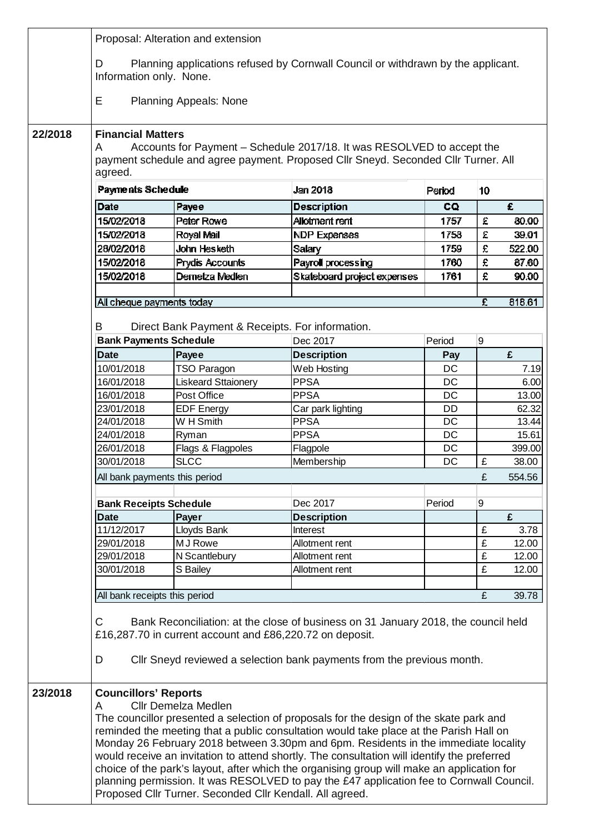|         | Proposal: Alteration and extension                                                                                                                                                                                                 |                                                                                 |                                                                                                                                                                                                                                                                                                                                                                                                                                                                                                                                                                  |           |    |        |  |  |
|---------|------------------------------------------------------------------------------------------------------------------------------------------------------------------------------------------------------------------------------------|---------------------------------------------------------------------------------|------------------------------------------------------------------------------------------------------------------------------------------------------------------------------------------------------------------------------------------------------------------------------------------------------------------------------------------------------------------------------------------------------------------------------------------------------------------------------------------------------------------------------------------------------------------|-----------|----|--------|--|--|
|         | Planning applications refused by Cornwall Council or withdrawn by the applicant.<br>D<br>Information only. None.                                                                                                                   |                                                                                 |                                                                                                                                                                                                                                                                                                                                                                                                                                                                                                                                                                  |           |    |        |  |  |
|         | Е<br><b>Planning Appeals: None</b>                                                                                                                                                                                                 |                                                                                 |                                                                                                                                                                                                                                                                                                                                                                                                                                                                                                                                                                  |           |    |        |  |  |
| 22/2018 | <b>Financial Matters</b><br>Accounts for Payment – Schedule 2017/18. It was RESOLVED to accept the<br>A<br>payment schedule and agree payment. Proposed Cllr Sneyd. Seconded Cllr Turner. All<br>agreed.                           |                                                                                 |                                                                                                                                                                                                                                                                                                                                                                                                                                                                                                                                                                  |           |    |        |  |  |
|         | Payments Schedule                                                                                                                                                                                                                  |                                                                                 | Jan 2018                                                                                                                                                                                                                                                                                                                                                                                                                                                                                                                                                         | Period    | 10 |        |  |  |
|         | <b>Date</b>                                                                                                                                                                                                                        | Payee                                                                           | <b>Description</b>                                                                                                                                                                                                                                                                                                                                                                                                                                                                                                                                               | CQ        |    | £      |  |  |
|         | 15/02/2018                                                                                                                                                                                                                         | Peter Rowe                                                                      | Allotment rent                                                                                                                                                                                                                                                                                                                                                                                                                                                                                                                                                   | 1757      | £  | 80.00  |  |  |
|         | 15/02/2018                                                                                                                                                                                                                         | Royal Mail                                                                      | <b>NDP Expenses</b>                                                                                                                                                                                                                                                                                                                                                                                                                                                                                                                                              | 1758      | £  | 39.01  |  |  |
|         | 28/02/2018                                                                                                                                                                                                                         | John Hesketh                                                                    | <b>Salary</b>                                                                                                                                                                                                                                                                                                                                                                                                                                                                                                                                                    | 1759      | £  | 522.00 |  |  |
|         | 15/02/2018                                                                                                                                                                                                                         | <b>Prydis Accounts</b>                                                          | Payroll processing                                                                                                                                                                                                                                                                                                                                                                                                                                                                                                                                               | 1760      | £  | 87.60  |  |  |
|         | 15/02/2018                                                                                                                                                                                                                         | Dernetza Medlen                                                                 | Skateboard project expenses                                                                                                                                                                                                                                                                                                                                                                                                                                                                                                                                      | 1761      | £  | 90.00  |  |  |
|         |                                                                                                                                                                                                                                    |                                                                                 |                                                                                                                                                                                                                                                                                                                                                                                                                                                                                                                                                                  |           |    |        |  |  |
|         | All cheque payments today                                                                                                                                                                                                          |                                                                                 |                                                                                                                                                                                                                                                                                                                                                                                                                                                                                                                                                                  |           | £  | 818.61 |  |  |
|         | B<br>Direct Bank Payment & Receipts. For information.                                                                                                                                                                              |                                                                                 |                                                                                                                                                                                                                                                                                                                                                                                                                                                                                                                                                                  |           |    |        |  |  |
|         | <b>Bank Payments Schedule</b>                                                                                                                                                                                                      |                                                                                 | Dec 2017                                                                                                                                                                                                                                                                                                                                                                                                                                                                                                                                                         | Period    | 9  |        |  |  |
|         | <b>Date</b>                                                                                                                                                                                                                        | Payee                                                                           | <b>Description</b>                                                                                                                                                                                                                                                                                                                                                                                                                                                                                                                                               | Pay       |    | £      |  |  |
|         | 10/01/2018                                                                                                                                                                                                                         | <b>TSO Paragon</b>                                                              | Web Hosting                                                                                                                                                                                                                                                                                                                                                                                                                                                                                                                                                      | DC        |    | 7.19   |  |  |
|         | 16/01/2018                                                                                                                                                                                                                         | Liskeard Sttaionery                                                             | <b>PPSA</b>                                                                                                                                                                                                                                                                                                                                                                                                                                                                                                                                                      | <b>DC</b> |    | 6.00   |  |  |
|         | 16/01/2018                                                                                                                                                                                                                         | Post Office                                                                     | <b>PPSA</b>                                                                                                                                                                                                                                                                                                                                                                                                                                                                                                                                                      | <b>DC</b> |    | 13.00  |  |  |
|         | 23/01/2018                                                                                                                                                                                                                         | <b>EDF Energy</b>                                                               | Car park lighting                                                                                                                                                                                                                                                                                                                                                                                                                                                                                                                                                | DD        |    | 62.32  |  |  |
|         | 24/01/2018                                                                                                                                                                                                                         | W H Smith                                                                       | <b>PPSA</b>                                                                                                                                                                                                                                                                                                                                                                                                                                                                                                                                                      | <b>DC</b> |    | 13.44  |  |  |
|         | 24/01/2018                                                                                                                                                                                                                         | Ryman                                                                           | <b>PPSA</b>                                                                                                                                                                                                                                                                                                                                                                                                                                                                                                                                                      | <b>DC</b> |    | 15.61  |  |  |
|         | 26/01/2018                                                                                                                                                                                                                         | Flags & Flagpoles                                                               | Flagpole                                                                                                                                                                                                                                                                                                                                                                                                                                                                                                                                                         | DC        |    | 399.00 |  |  |
|         | 30/01/2018                                                                                                                                                                                                                         | <b>SLCC</b>                                                                     | Membership                                                                                                                                                                                                                                                                                                                                                                                                                                                                                                                                                       | DC        | £  | 38.00  |  |  |
|         | 554.56<br>All bank payments this period<br>£                                                                                                                                                                                       |                                                                                 |                                                                                                                                                                                                                                                                                                                                                                                                                                                                                                                                                                  |           |    |        |  |  |
|         | <b>Bank Receipts Schedule</b>                                                                                                                                                                                                      |                                                                                 | Dec 2017                                                                                                                                                                                                                                                                                                                                                                                                                                                                                                                                                         | Period    | 9  |        |  |  |
|         | <b>Date</b>                                                                                                                                                                                                                        | Payer                                                                           | <b>Description</b>                                                                                                                                                                                                                                                                                                                                                                                                                                                                                                                                               |           |    | £      |  |  |
|         | 11/12/2017                                                                                                                                                                                                                         | Lloyds Bank                                                                     | Interest                                                                                                                                                                                                                                                                                                                                                                                                                                                                                                                                                         |           | £  | 3.78   |  |  |
|         | 29/01/2018                                                                                                                                                                                                                         | MJ Rowe                                                                         | Allotment rent                                                                                                                                                                                                                                                                                                                                                                                                                                                                                                                                                   |           | £  | 12.00  |  |  |
|         | 29/01/2018                                                                                                                                                                                                                         | N Scantlebury                                                                   | Allotment rent                                                                                                                                                                                                                                                                                                                                                                                                                                                                                                                                                   |           | £  | 12.00  |  |  |
|         | 30/01/2018                                                                                                                                                                                                                         | S Bailey                                                                        | Allotment rent                                                                                                                                                                                                                                                                                                                                                                                                                                                                                                                                                   |           | £  | 12.00  |  |  |
|         |                                                                                                                                                                                                                                    |                                                                                 |                                                                                                                                                                                                                                                                                                                                                                                                                                                                                                                                                                  |           | £  |        |  |  |
|         | All bank receipts this period                                                                                                                                                                                                      |                                                                                 |                                                                                                                                                                                                                                                                                                                                                                                                                                                                                                                                                                  |           |    | 39.78  |  |  |
|         | C<br>Bank Reconciliation: at the close of business on 31 January 2018, the council held<br>£16,287.70 in current account and £86,220.72 on deposit.<br>D<br>CIIr Sneyd reviewed a selection bank payments from the previous month. |                                                                                 |                                                                                                                                                                                                                                                                                                                                                                                                                                                                                                                                                                  |           |    |        |  |  |
| 23/2018 | <b>Councillors' Reports</b><br>A                                                                                                                                                                                                   | Cllr Demelza Medlen<br>Proposed Cllr Turner. Seconded Cllr Kendall. All agreed. | The councillor presented a selection of proposals for the design of the skate park and<br>reminded the meeting that a public consultation would take place at the Parish Hall on<br>Monday 26 February 2018 between 3.30pm and 6pm. Residents in the immediate locality<br>would receive an invitation to attend shortly. The consultation will identify the preferred<br>choice of the park's layout, after which the organising group will make an application for<br>planning permission. It was RESOLVED to pay the £47 application fee to Cornwall Council. |           |    |        |  |  |